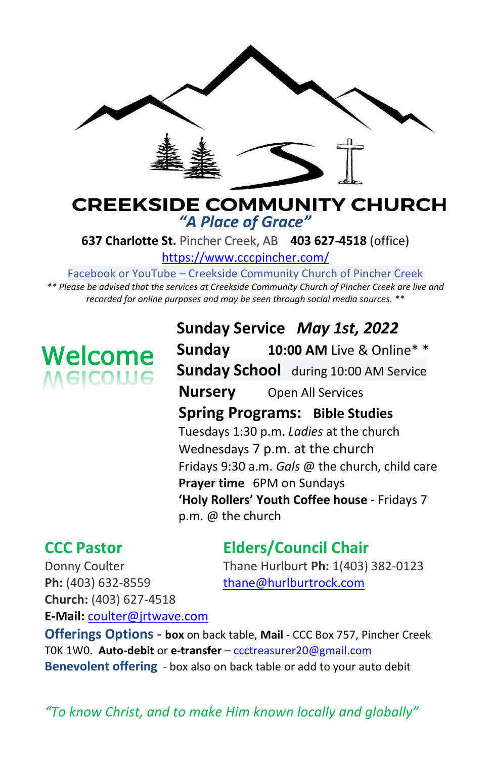

#### **CREEKSIDE COMMUNITY CHURCH** *"A Place of Grace"*

**637 Charlotte St.** Pincher Creek, AB **403 627-4518** (office)

<https://www.cccpincher.com/>

Facebook or YouTube – Creekside Community Church of Pincher Creek

*\*\* Please be advised that the services at Creekside Community Church of Pincher Creek are live and recorded for online purposes and may be seen through social media sources. \*\**

# **Welcome**<br>Melcolue

**Sunday Service** *May 1st, 2022* **Sunday 10:00 AM** Live & Online\* \* **Sunday School** during 10:00 AM Service **Nursery** Open All Services **Spring Programs: Bible Studies** Tuesdays 1:30 p.m. *Ladies* at the church Wednesdays 7 p.m. at the church Fridays 9:30 a.m. *Gals* @ the church, child care **Prayer time** 6PM on Sundays **'Holy Rollers' Youth Coffee house** - Fridays 7 p.m. @ the church

#### **CCC Pastor Elders/Council Chair**

Donny Coulter Thane Hurlburt **Ph:** 1(403) 382-0123

Ph: (403) 632-8559 [thane@hurlburtrock.com](mailto:thane@hurlburtrock.com) **Church:** (403) 627-4518 **E-Mail:** [coulter@jrtwave.com](mailto:coulter@jrtwave.com)

**Offerings Options - box** on back table, **Mail** - CCC Box 757, Pincher Creek T0K 1W0. **Auto-debit** or **e-transfer** – [ccctreasurer20@gmail.com](mailto:ccctreasurer20@gmail.com) **Benevolent offering** - box also on back table or add to your auto debit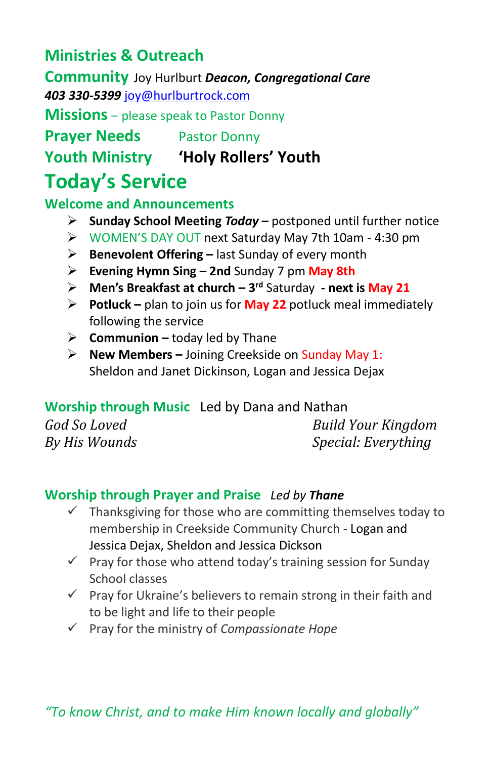#### **Ministries & Outreach**

**Community** Joy Hurlburt *Deacon, Congregational Care 403 330-5399* [joy@hurlburtrock.com](mailto:joy@hurlburtrock.com)

**Missions** – please speak to Pastor Donny

**Prayer Needs** Pastor Donny

**Youth Ministry 'Holy Rollers' Youth**

## **Today's Service**

**Welcome and Announcements** 

- ➢ **Sunday School Meeting** *Today* **–** postponed until further notice
- ➢ WOMEN'S DAY OUT next Saturday May 7th 10am 4:30 pm
- ➢ **Benevolent Offering –** last Sunday of every month
- ➢ **Evening Hymn Sing – 2nd** Sunday 7 pm **May 8th**
- ➢ **Men's Breakfast at church – 3 rd** Saturday **- next is May 21**
- ➢ **Potluck –** plan to join us for **May 22** potluck meal immediately following the service
- ➢ **Communion –** today led by Thane
- ➢ **New Members –** Joining Creekside on Sunday May 1: Sheldon and Janet Dickinson, Logan and Jessica Dejax

#### **Worship through Music**Led by Dana and Nathan

*God So Loved Build Your Kingdom By His Wounds Special: Everything*

#### **Worship through Prayer and Praise** *Led by Thane*

- $\checkmark$  Thanksgiving for those who are committing themselves today to membership in Creekside Community Church - Logan and Jessica Dejax, Sheldon and Jessica Dickson
- $\checkmark$  Pray for those who attend today's training session for Sunday School classes
- $\checkmark$  Pray for Ukraine's believers to remain strong in their faith and to be light and life to their people
- ✓ Pray for the ministry of *Compassionate Hope*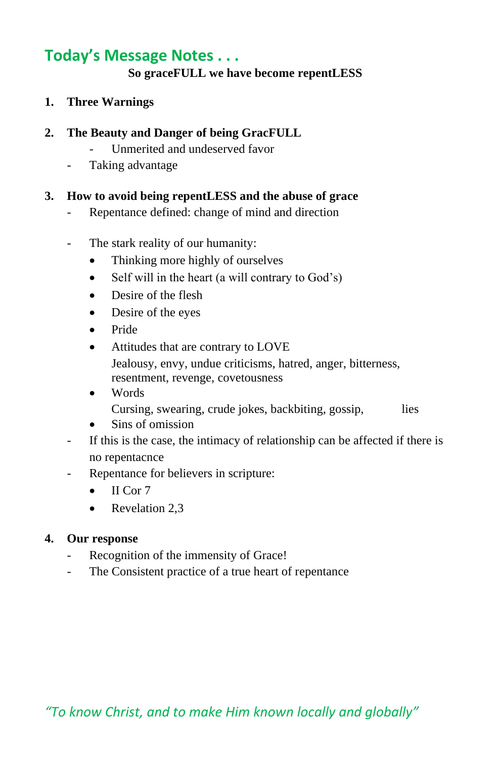#### **Today's Message Notes . . .**

#### **So graceFULL we have become repentLESS**

**1. Three Warnings**

#### **2. The Beauty and Danger of being GracFULL**

- Unmerited and undeserved favor
- Taking advantage

#### **3. How to avoid being repentLESS and the abuse of grace**

- Repentance defined: change of mind and direction
- The stark reality of our humanity:
	- Thinking more highly of ourselves
	- Self will in the heart (a will contrary to God's)
	- Desire of the flesh
	- Desire of the eyes
	- Pride
	- Attitudes that are contrary to LOVE Jealousy, envy, undue criticisms, hatred, anger, bitterness, resentment, revenge, covetousness
	- Words Cursing, swearing, crude jokes, backbiting, gossip, lies

- Sins of omission
- If this is the case, the intimacy of relationship can be affected if there is no repentacnce
- Repentance for believers in scripture:
	- $\bullet$  II Cor 7
	- Revelation 2,3

#### **4. Our response**

- Recognition of the immensity of Grace!
- The Consistent practice of a true heart of repentance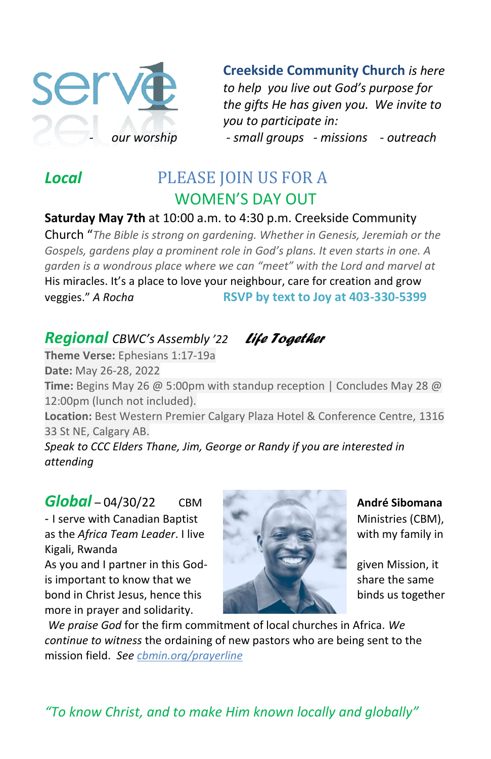

**Creekside Community Church** *is here to help you live out God's purpose for the gifts He has given you. We invite to you to participate in:* - *our worship - small groups - missions - outreach* 

### *Local* PLEASE JOIN US FOR A WOMEN'S DAY OUT

#### **Saturday May 7th** at 10:00 a.m. to 4:30 p.m. Creekside Community

Church "*The Bible is strong on gardening. Whether in Genesis, Jeremiah or the Gospels, gardens play a prominent role in God's plans. It even starts in one. A garden is a wondrous place where we can "meet" with the Lord and marvel at*  His miracles. It's a place to love your neighbour, care for creation and grow veggies." *A Rocha* **RSVP by text to Joy at 403-330-5399**

#### *Regional CBWC's Assembly '22 Life Together*

**Theme Verse:** Ephesians 1:17-19a

**Date:** May 26-28, 2022 **Time:** Begins May 26 @ 5:00pm with standup reception | Concludes May 28 @ 12:00pm (lunch not included).

**Location:** Best Western Premier Calgary Plaza Hotel & Conference Centre, 1316 33 St NE, Calgary AB.

*Speak to CCC Elders Thane, Jim, George or Randy if you are interested in attending*

*Global –* 04/30/22 CBM **André Sibomana** - I serve with Canadian Baptist Ministries (CBM), as the *Africa Team Leader*. I live with my family in Kigali, Rwanda As you and I partner in this God- given Mission, it is important to know that we share the same share the same bond in Christ Jesus, hence this binds us together more in prayer and solidarity.



*We praise God* for the firm commitment of local churches in Africa. *We continue to witness* the ordaining of new pastors who are being sent to the mission field. *See cbmin.org/prayerline*